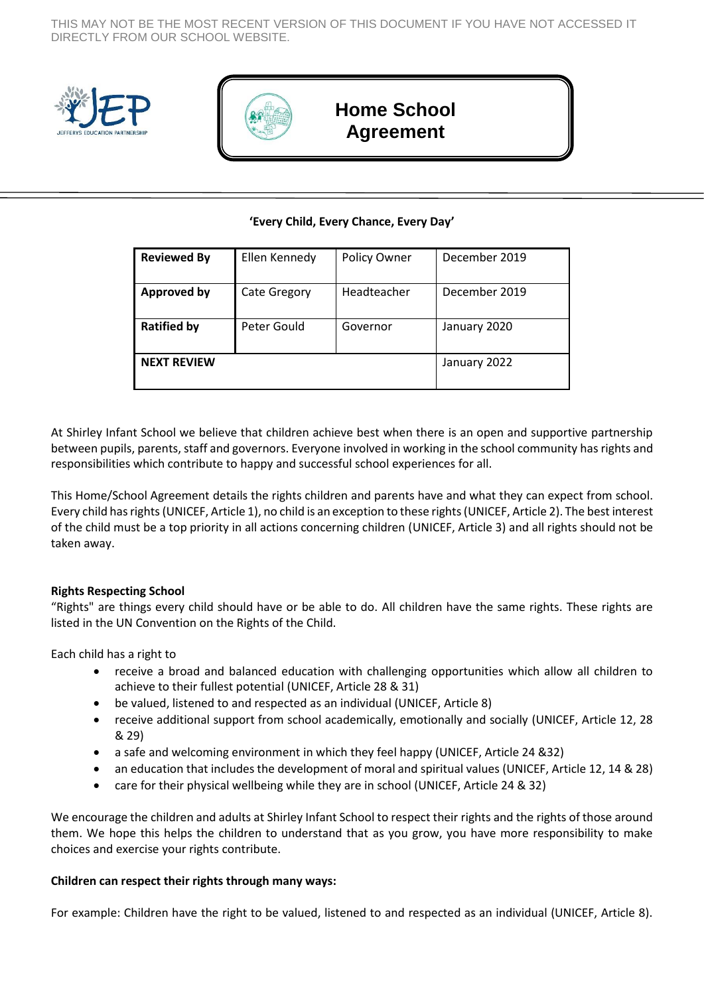THIS MAY NOT BE THE MOST RECENT VERSION OF THIS DOCUMENT IF YOU HAVE NOT ACCESSED IT DIRECTLY FROM OUR SCHOOL WEBSITE.





## **Home School Agreement**

## **'Every Child, Every Chance, Every Day'**

| <b>Reviewed By</b> | Ellen Kennedy       | Policy Owner | December 2019 |
|--------------------|---------------------|--------------|---------------|
| <b>Approved by</b> | <b>Cate Gregory</b> | Headteacher  | December 2019 |
| <b>Ratified by</b> | Peter Gould         | Governor     | January 2020  |
| <b>NEXT REVIEW</b> |                     |              | January 2022  |

At Shirley Infant School we believe that children achieve best when there is an open and supportive partnership between pupils, parents, staff and governors. Everyone involved in working in the school community has rights and responsibilities which contribute to happy and successful school experiences for all.

This Home/School Agreement details the rights children and parents have and what they can expect from school. Every child has rights (UNICEF, Article 1), no child is an exception to these rights (UNICEF, Article 2). The best interest of the child must be a top priority in all actions concerning children (UNICEF, Article 3) and all rights should not be taken away.

## **Rights Respecting School**

"Rights" are things every child should have or be able to do. All children have the same rights. These rights are listed in the UN Convention on the Rights of the Child.

Each child has a right to

- receive a broad and balanced education with challenging opportunities which allow all children to achieve to their fullest potential (UNICEF, Article 28 & 31)
- be valued, listened to and respected as an individual (UNICEF, Article 8)
- receive additional support from school academically, emotionally and socially (UNICEF, Article 12, 28 & 29)
- a safe and welcoming environment in which they feel happy (UNICEF, Article 24 &32)
- an education that includes the development of moral and spiritual values (UNICEF, Article 12, 14 & 28)
- care for their physical wellbeing while they are in school (UNICEF, Article 24 & 32)

We encourage the children and adults at Shirley Infant School to respect their rights and the rights of those around them. We hope this helps the children to understand that as you grow, you have more responsibility to make choices and exercise your rights contribute.

## **Children can respect their rights through many ways:**

For example: Children have the right to be valued, listened to and respected as an individual (UNICEF, Article 8).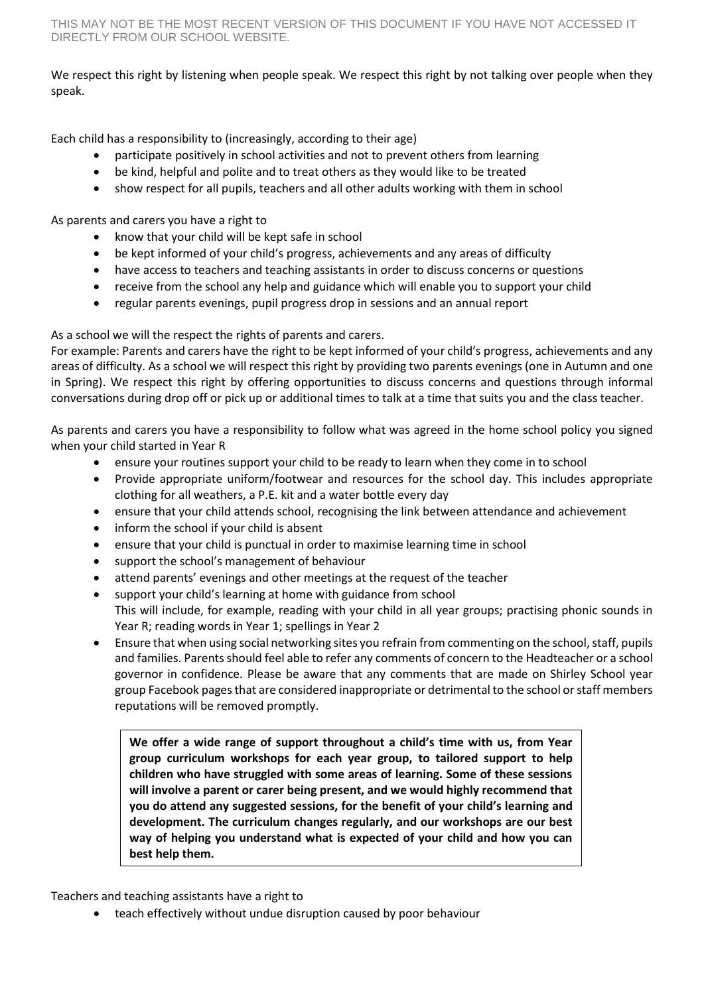We respect this right by listening when people speak. We respect this right by not talking over people when they speak.

Each child has a responsibility to (increasingly, according to their age)

- participate positively in school activities and not to prevent others from learning
- be kind, helpful and polite and to treat others as they would like to be treated
- show respect for all pupils, teachers and all other adults working with them in school

As parents and carers you have a right to

- know that your child will be kept safe in school
- be kept informed of your child's progress, achievements and any areas of difficulty
- have access to teachers and teaching assistants in order to discuss concerns or questions
- receive from the school any help and guidance which will enable you to support your child
- regular parents evenings, pupil progress drop in sessions and an annual report

As a school we will the respect the rights of parents and carers.

For example: Parents and carers have the right to be kept informed of your child's progress, achievements and any areas of difficulty. As a school we will respect this right by providing two parents evenings (one in Autumn and one in Spring). We respect this right by offering opportunities to discuss concerns and questions through informal conversations during drop off or pick up or additional times to talk at a time that suits you and the class teacher.

As parents and carers you have a responsibility to follow what was agreed in the home school policy you signed when your child started in Year R

- ensure your routines support your child to be ready to learn when they come in to school
- Provide appropriate uniform/footwear and resources for the school day. This includes appropriate clothing for all weathers, a P.E. kit and a water bottle every day
- ensure that your child attends school, recognising the link between attendance and achievement
- inform the school if your child is absent
- ensure that your child is punctual in order to maximise learning time in school
- support the school's management of behaviour
- attend parents' evenings and other meetings at the request of the teacher
- support your child's learning at home with guidance from school This will include, for example, reading with your child in all year groups; practising phonic sounds in Year R; reading words in Year 1; spellings in Year 2
- Ensure that when using social networking sites you refrain from commenting on the school, staff, pupils and families. Parents should feel able to refer any comments of concern to the Headteacher or a school governor in confidence. Please be aware that any comments that are made on Shirley School year group Facebook pages that are considered inappropriate or detrimental to the school or staff members reputations will be removed promptly.

**We offer a wide range of support throughout a child's time with us, from Year group curriculum workshops for each year group, to tailored support to help children who have struggled with some areas of learning. Some of these sessions will involve a parent or carer being present, and we would highly recommend that you do attend any suggested sessions, for the benefit of your child's learning and development. The curriculum changes regularly, and our workshops are our best way of helping you understand what is expected of your child and how you can best help them.**

Teachers and teaching assistants have a right to

teach effectively without undue disruption caused by poor behaviour